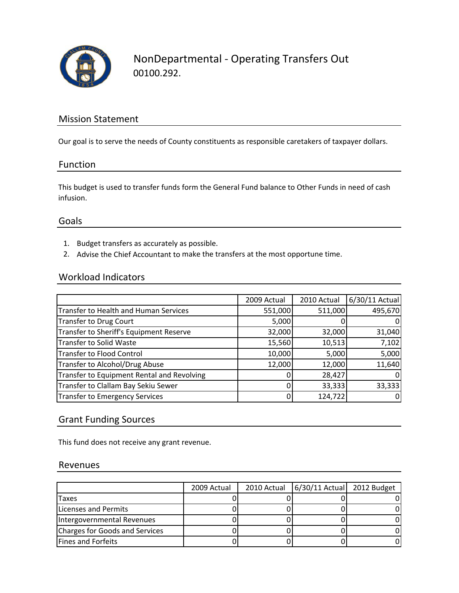

## Mission Statement

Our goal is to serve the needs of County constituents as responsible caretakers of taxpayer dollars.

#### Function

This budget is used to transfer funds form the General Fund balance to Other Funds in need of cash infusion.

#### Goals

- 1. Budget transfers as accurately as possible.
- 2. Advise the Chief Accountant to make the transfers at the most opportune time.

### Workload Indicators

|                                              | 2009 Actual | 2010 Actual | 6/30/11 Actual |
|----------------------------------------------|-------------|-------------|----------------|
| <b>Transfer to Health and Human Services</b> | 551,000     | 511,000     | 495,670        |
| <b>Transfer to Drug Court</b>                | 5,000       |             | 0              |
| Transfer to Sheriff's Equipment Reserve      | 32,000      | 32,000      | 31,040         |
| <b>Transfer to Solid Waste</b>               | 15,560      | 10,513      | 7,102          |
| <b>Transfer to Flood Control</b>             | 10,000      | 5,000       | 5,000          |
| Transfer to Alcohol/Drug Abuse               | 12,000      | 12,000      | 11,640         |
| Transfer to Equipment Rental and Revolving   |             | 28,427      | 0              |
| Transfer to Clallam Bay Sekiu Sewer          |             | 33,333      | 33,333         |
| <b>Transfer to Emergency Services</b>        |             | 124,722     | 0              |

### Grant Funding Sources

This fund does not receive any grant revenue.

#### Revenues

|                                | 2009 Actual | 2010 Actual   6/30/11 Actual 2012 Budget |  |
|--------------------------------|-------------|------------------------------------------|--|
| Taxes                          |             |                                          |  |
| <b>Licenses and Permits</b>    |             |                                          |  |
| Intergovernmental Revenues     |             |                                          |  |
| Charges for Goods and Services |             |                                          |  |
| <b>Fines and Forfeits</b>      |             |                                          |  |